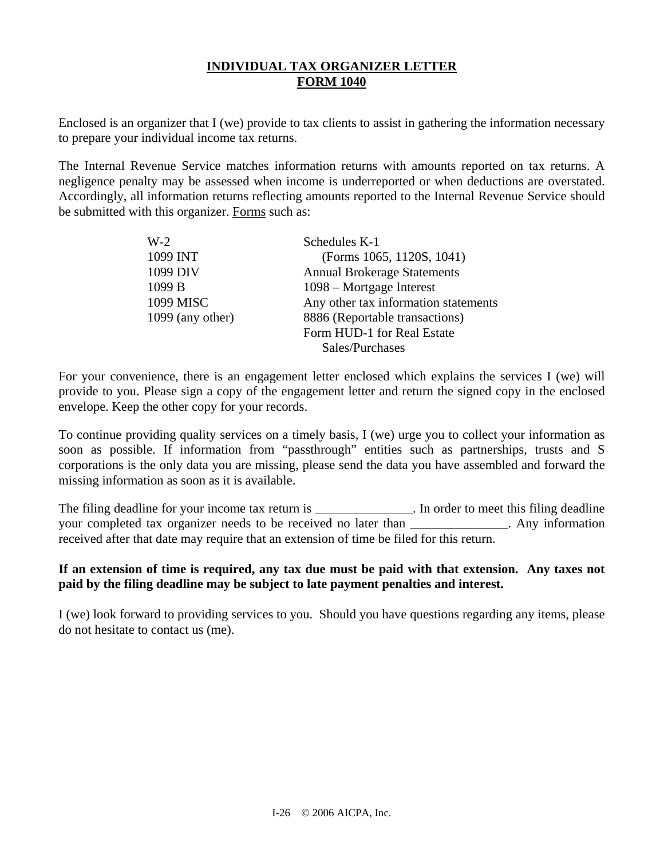# **INDIVIDUAL TAX ORGANIZER LETTER FORM 1040**

Enclosed is an organizer that I (we) provide to tax clients to assist in gathering the information necessary to prepare your individual income tax returns.

The Internal Revenue Service matches information returns with amounts reported on tax returns. A negligence penalty may be assessed when income is underreported or when deductions are overstated. Accordingly, all information returns reflecting amounts reported to the Internal Revenue Service should be submitted with this organizer. Forms such as:

| $W-2$              | Schedules K-1                        |
|--------------------|--------------------------------------|
| 1099 INT           | (Forms 1065, 1120S, 1041)            |
| 1099 DIV           | <b>Annual Brokerage Statements</b>   |
| 1099 B             | 1098 – Mortgage Interest             |
| 1099 MISC          | Any other tax information statements |
| $1099$ (any other) | 8886 (Reportable transactions)       |
|                    | Form HUD-1 for Real Estate           |
|                    | Sales/Purchases                      |

For your convenience, there is an engagement letter enclosed which explains the services I (we) will provide to you. Please sign a copy of the engagement letter and return the signed copy in the enclosed envelope. Keep the other copy for your records.

To continue providing quality services on a timely basis, I (we) urge you to collect your information as soon as possible. If information from "passthrough" entities such as partnerships, trusts and S corporations is the only data you are missing, please send the data you have assembled and forward the missing information as soon as it is available.

The filing deadline for your income tax return is \_\_\_\_\_\_\_\_\_\_\_\_\_\_. In order to meet this filing deadline your completed tax organizer needs to be received no later than \_\_\_\_\_\_\_\_\_\_\_\_\_\_\_. Any information received after that date may require that an extension of time be filed for this return.

### **If an extension of time is required, any tax due must be paid with that extension. Any taxes not paid by the filing deadline may be subject to late payment penalties and interest.**

I (we) look forward to providing services to you. Should you have questions regarding any items, please do not hesitate to contact us (me).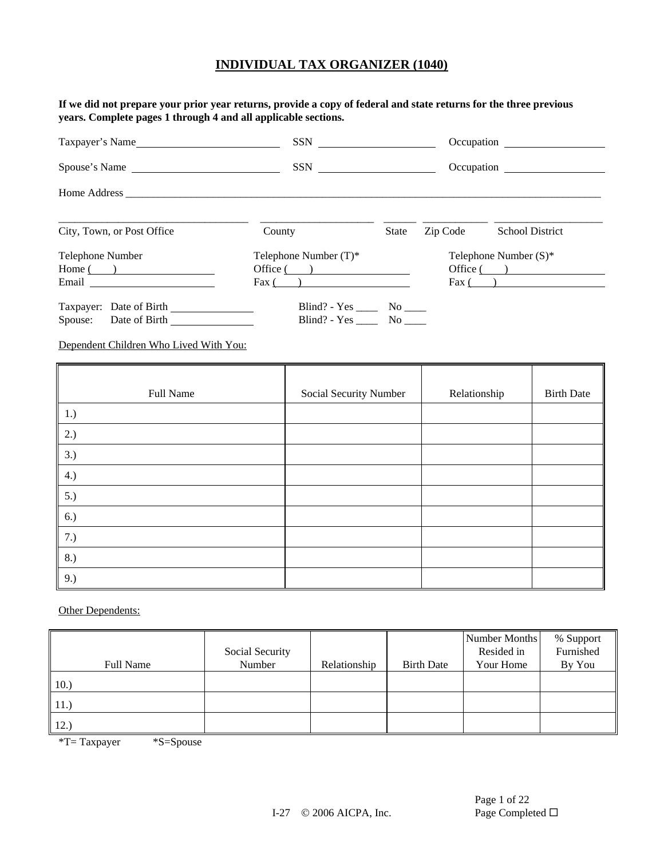**If we did not prepare your prior year returns, provide a copy of federal and state returns for the three previous years. Complete pages 1 through 4 and all applicable sections.** 

| Taxpayer's Name                                                                                                                                                                                                                                                  |                                                           |              |          |                                                                |
|------------------------------------------------------------------------------------------------------------------------------------------------------------------------------------------------------------------------------------------------------------------|-----------------------------------------------------------|--------------|----------|----------------------------------------------------------------|
| Spouse's Name                                                                                                                                                                                                                                                    |                                                           |              |          | Occupation                                                     |
|                                                                                                                                                                                                                                                                  |                                                           |              |          |                                                                |
| City, Town, or Post Office                                                                                                                                                                                                                                       | County                                                    | <b>State</b> | Zip Code | <b>School District</b>                                         |
| Telephone Number<br>$Home($ $)$<br>Email and the contract of the contract of the contract of the contract of the contract of the contract of the contract of the contract of the contract of the contract of the contract of the contract of the contract of the | Telephone Number $(T)^*$<br>Office( )<br>$\text{Fax}$ ( ) |              |          | Telephone Number $(S)^*$<br>Office $($ $)$<br>$\text{Fax}$ ( ) |
| Taxpayer: Date of Birth<br>Spouse: Date of Birth                                                                                                                                                                                                                 | Blind? - $Yes \_\_\_\_ \ No \_\_\_\_$<br>Blind? - Yes No  |              |          |                                                                |

Dependent Children Who Lived With You:

| Full Name | Social Security Number | Relationship | <b>Birth Date</b> |
|-----------|------------------------|--------------|-------------------|
| 1.)       |                        |              |                   |
| 2.)       |                        |              |                   |
| 3.)       |                        |              |                   |
| 4.)       |                        |              |                   |
| 5.)       |                        |              |                   |
| 6.)       |                        |              |                   |
| 7.)       |                        |              |                   |
| 8.)       |                        |              |                   |
| 9.)       |                        |              |                   |

**Other Dependents:** 

|                  | Social Security |              |                   | Number Months<br>Resided in | % Support<br>Furnished |
|------------------|-----------------|--------------|-------------------|-----------------------------|------------------------|
| <b>Full Name</b> | Number          | Relationship | <b>Birth Date</b> | Your Home                   | By You                 |
| 10.              |                 |              |                   |                             |                        |
| 11.              |                 |              |                   |                             |                        |
| 12.)             |                 |              |                   |                             |                        |

\*T= Taxpayer \*S=Spouse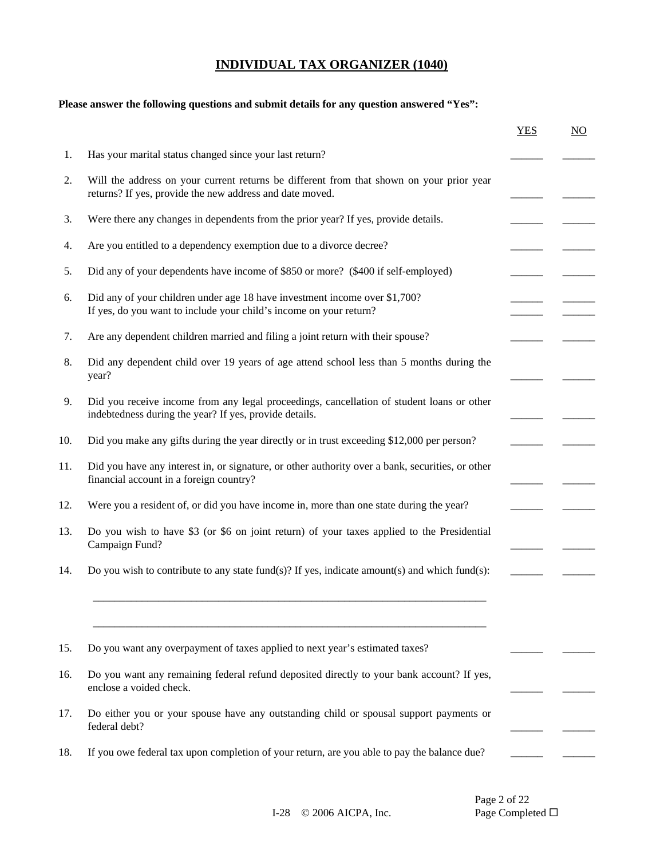# **Please answer the following questions and submit details for any question answered "Yes":**

|                         |                                                                                                                                                      | <b>YES</b> | NO |
|-------------------------|------------------------------------------------------------------------------------------------------------------------------------------------------|------------|----|
|                         | Has your marital status changed since your last return?                                                                                              |            |    |
|                         | Will the address on your current returns be different from that shown on your prior year<br>returns? If yes, provide the new address and date moved. |            |    |
|                         | Were there any changes in dependents from the prior year? If yes, provide details.                                                                   |            |    |
|                         | Are you entitled to a dependency exemption due to a divorce decree?                                                                                  |            |    |
|                         | Did any of your dependents have income of \$850 or more? (\$400 if self-employed)                                                                    |            |    |
|                         | Did any of your children under age 18 have investment income over \$1,700?<br>If yes, do you want to include your child's income on your return?     |            |    |
|                         | Are any dependent children married and filing a joint return with their spouse?                                                                      |            |    |
| year?                   | Did any dependent child over 19 years of age attend school less than 5 months during the                                                             |            |    |
|                         | Did you receive income from any legal proceedings, cancellation of student loans or other<br>indebtedness during the year? If yes, provide details.  |            |    |
|                         | Did you make any gifts during the year directly or in trust exceeding \$12,000 per person?                                                           |            |    |
|                         | Did you have any interest in, or signature, or other authority over a bank, securities, or other<br>financial account in a foreign country?          |            |    |
|                         | Were you a resident of, or did you have income in, more than one state during the year?                                                              |            |    |
| Campaign Fund?          | Do you wish to have \$3 (or \$6 on joint return) of your taxes applied to the Presidential                                                           |            |    |
|                         | Do you wish to contribute to any state fund(s)? If yes, indicate amount(s) and which fund(s):                                                        |            |    |
|                         |                                                                                                                                                      |            |    |
|                         | Do you want any overpayment of taxes applied to next year's estimated taxes?                                                                         |            |    |
| enclose a voided check. | Do you want any remaining federal refund deposited directly to your bank account? If yes,                                                            |            |    |
| federal debt?           | Do either you or your spouse have any outstanding child or spousal support payments or                                                               |            |    |
|                         | If you owe federal tax upon completion of your return, are you able to pay the balance due?                                                          |            |    |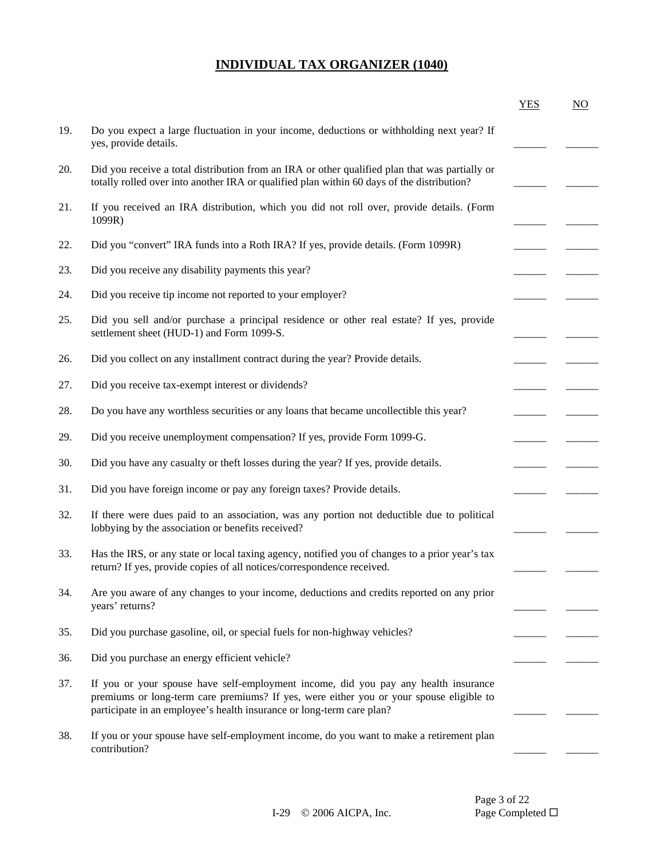|     |                                                                                                                                                                                                                                                         | <b>YES</b> | $\underline{NO}$ |
|-----|---------------------------------------------------------------------------------------------------------------------------------------------------------------------------------------------------------------------------------------------------------|------------|------------------|
| 19. | Do you expect a large fluctuation in your income, deductions or withholding next year? If<br>yes, provide details.                                                                                                                                      |            |                  |
| 20. | Did you receive a total distribution from an IRA or other qualified plan that was partially or<br>totally rolled over into another IRA or qualified plan within 60 days of the distribution?                                                            |            |                  |
| 21. | If you received an IRA distribution, which you did not roll over, provide details. (Form<br>1099R)                                                                                                                                                      |            |                  |
| 22. | Did you "convert" IRA funds into a Roth IRA? If yes, provide details. (Form 1099R)                                                                                                                                                                      |            |                  |
| 23. | Did you receive any disability payments this year?                                                                                                                                                                                                      |            |                  |
| 24. | Did you receive tip income not reported to your employer?                                                                                                                                                                                               |            |                  |
| 25. | Did you sell and/or purchase a principal residence or other real estate? If yes, provide<br>settlement sheet (HUD-1) and Form 1099-S.                                                                                                                   |            |                  |
| 26. | Did you collect on any installment contract during the year? Provide details.                                                                                                                                                                           |            |                  |
| 27. | Did you receive tax-exempt interest or dividends?                                                                                                                                                                                                       |            |                  |
| 28. | Do you have any worthless securities or any loans that became uncollectible this year?                                                                                                                                                                  |            |                  |
| 29. | Did you receive unemployment compensation? If yes, provide Form 1099-G.                                                                                                                                                                                 |            |                  |
| 30. | Did you have any casualty or theft losses during the year? If yes, provide details.                                                                                                                                                                     |            |                  |
| 31. | Did you have foreign income or pay any foreign taxes? Provide details.                                                                                                                                                                                  |            |                  |
| 32. | If there were dues paid to an association, was any portion not deductible due to political<br>lobbying by the association or benefits received?                                                                                                         |            |                  |
| 33. | Has the IRS, or any state or local taxing agency, notified you of changes to a prior year's tax<br>return? If yes, provide copies of all notices/correspondence received.                                                                               |            |                  |
| 34. | Are you aware of any changes to your income, deductions and credits reported on any prior<br>years' returns?                                                                                                                                            |            |                  |
| 35. | Did you purchase gasoline, oil, or special fuels for non-highway vehicles?                                                                                                                                                                              |            |                  |
| 36. | Did you purchase an energy efficient vehicle?                                                                                                                                                                                                           |            |                  |
| 37. | If you or your spouse have self-employment income, did you pay any health insurance<br>premiums or long-term care premiums? If yes, were either you or your spouse eligible to<br>participate in an employee's health insurance or long-term care plan? |            |                  |
| 38. | If you or your spouse have self-employment income, do you want to make a retirement plan<br>contribution?                                                                                                                                               |            |                  |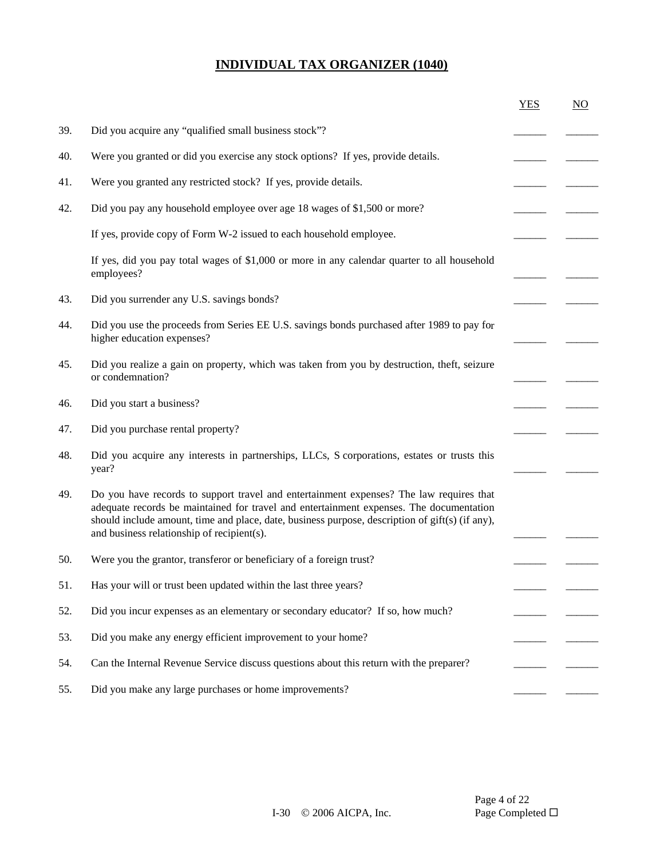|     |                                                                                                                                                                                                                                                                                                                                     | <b>YES</b> | $\overline{NO}$ |
|-----|-------------------------------------------------------------------------------------------------------------------------------------------------------------------------------------------------------------------------------------------------------------------------------------------------------------------------------------|------------|-----------------|
| 39. | Did you acquire any "qualified small business stock"?                                                                                                                                                                                                                                                                               |            |                 |
| 40. | Were you granted or did you exercise any stock options? If yes, provide details.                                                                                                                                                                                                                                                    |            |                 |
| 41. | Were you granted any restricted stock? If yes, provide details.                                                                                                                                                                                                                                                                     |            |                 |
| 42. | Did you pay any household employee over age 18 wages of \$1,500 or more?                                                                                                                                                                                                                                                            |            |                 |
|     | If yes, provide copy of Form W-2 issued to each household employee.                                                                                                                                                                                                                                                                 |            |                 |
|     | If yes, did you pay total wages of \$1,000 or more in any calendar quarter to all household<br>employees?                                                                                                                                                                                                                           |            |                 |
| 43. | Did you surrender any U.S. savings bonds?                                                                                                                                                                                                                                                                                           |            |                 |
| 44. | Did you use the proceeds from Series EE U.S. savings bonds purchased after 1989 to pay for<br>higher education expenses?                                                                                                                                                                                                            |            |                 |
| 45. | Did you realize a gain on property, which was taken from you by destruction, theft, seizure<br>or condemnation?                                                                                                                                                                                                                     |            |                 |
| 46. | Did you start a business?                                                                                                                                                                                                                                                                                                           |            |                 |
| 47. | Did you purchase rental property?                                                                                                                                                                                                                                                                                                   |            |                 |
| 48. | Did you acquire any interests in partnerships, LLCs, S corporations, estates or trusts this<br>year?                                                                                                                                                                                                                                |            |                 |
| 49. | Do you have records to support travel and entertainment expenses? The law requires that<br>adequate records be maintained for travel and entertainment expenses. The documentation<br>should include amount, time and place, date, business purpose, description of gift(s) (if any),<br>and business relationship of recipient(s). |            |                 |
| 50. | Were you the grantor, transferor or beneficiary of a foreign trust?                                                                                                                                                                                                                                                                 |            |                 |
| 51. | Has your will or trust been updated within the last three years?                                                                                                                                                                                                                                                                    |            |                 |
| 52. | Did you incur expenses as an elementary or secondary educator? If so, how much?                                                                                                                                                                                                                                                     |            |                 |
| 53. | Did you make any energy efficient improvement to your home?                                                                                                                                                                                                                                                                         |            |                 |
| 54. | Can the Internal Revenue Service discuss questions about this return with the preparer?                                                                                                                                                                                                                                             |            |                 |
| 55. | Did you make any large purchases or home improvements?                                                                                                                                                                                                                                                                              |            |                 |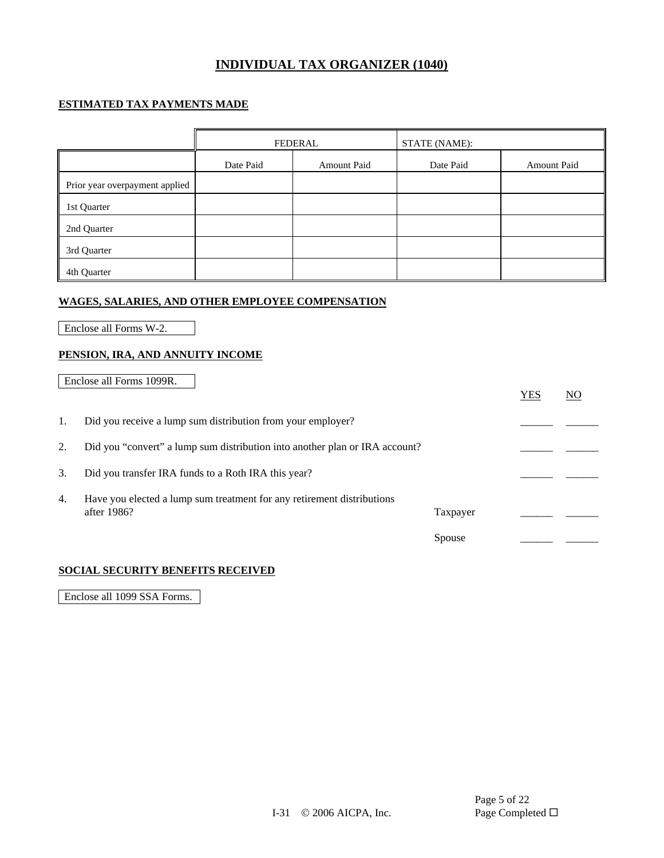### **ESTIMATED TAX PAYMENTS MADE**

|                                | <b>FEDERAL</b> |             | <b>STATE (NAME):</b> |                    |
|--------------------------------|----------------|-------------|----------------------|--------------------|
|                                | Date Paid      | Amount Paid | Date Paid            | <b>Amount Paid</b> |
| Prior year overpayment applied |                |             |                      |                    |
| 1st Quarter                    |                |             |                      |                    |
| 2nd Quarter                    |                |             |                      |                    |
| 3rd Quarter                    |                |             |                      |                    |
| 4th Quarter                    |                |             |                      |                    |

#### **WAGES, SALARIES, AND OTHER EMPLOYEE COMPENSATION**

Enclose all Forms W-2.

### **PENSION, IRA, AND ANNUITY INCOME**

|    | Enclose all Forms 1099R.                                                              |          | <b>YES</b> | NO |
|----|---------------------------------------------------------------------------------------|----------|------------|----|
|    | Did you receive a lump sum distribution from your employer?                           |          |            |    |
| 2. | Did you "convert" a lump sum distribution into another plan or IRA account?           |          |            |    |
| 3. | Did you transfer IRA funds to a Roth IRA this year?                                   |          |            |    |
| 4. | Have you elected a lump sum treatment for any retirement distributions<br>after 1986? | Taxpayer |            |    |
|    |                                                                                       | Spouse   |            |    |

#### **SOCIAL SECURITY BENEFITS RECEIVED**

Enclose all 1099 SSA Forms.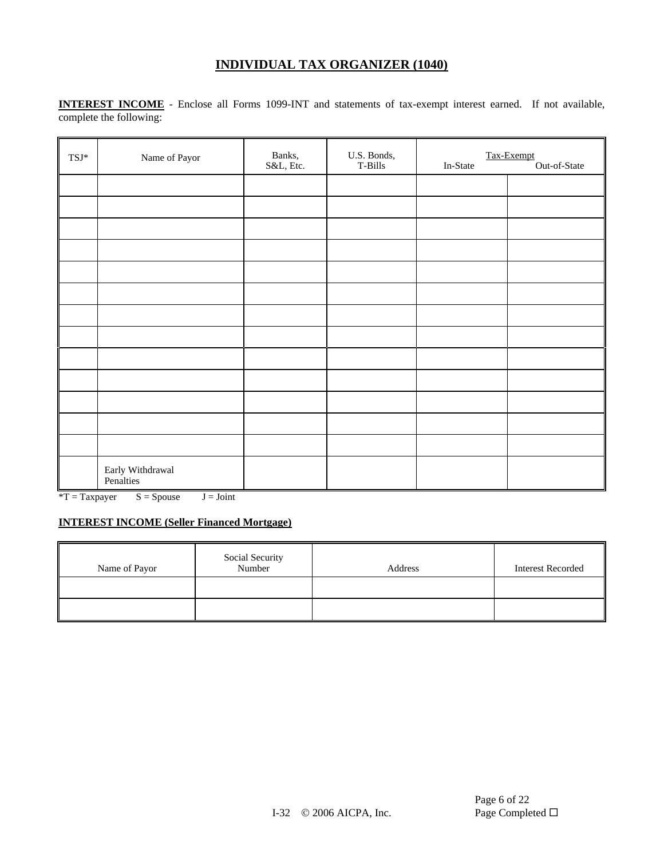**INTEREST INCOME** - Enclose all Forms 1099-INT and statements of tax-exempt interest earned. If not available, complete the following:

| $\text{TSI}^*$ | Name of Payor                 | Banks,<br>S&L, Etc. | U.S. Bonds,<br>T-Bills | Tax-Exempt<br>Out-of-State<br>In-State |  |  |
|----------------|-------------------------------|---------------------|------------------------|----------------------------------------|--|--|
|                |                               |                     |                        |                                        |  |  |
|                |                               |                     |                        |                                        |  |  |
|                |                               |                     |                        |                                        |  |  |
|                |                               |                     |                        |                                        |  |  |
|                |                               |                     |                        |                                        |  |  |
|                |                               |                     |                        |                                        |  |  |
|                |                               |                     |                        |                                        |  |  |
|                |                               |                     |                        |                                        |  |  |
|                |                               |                     |                        |                                        |  |  |
|                |                               |                     |                        |                                        |  |  |
|                |                               |                     |                        |                                        |  |  |
|                |                               |                     |                        |                                        |  |  |
|                |                               |                     |                        |                                        |  |  |
|                | Early Withdrawal<br>Penalties |                     |                        |                                        |  |  |

 $*T = Taxpayer$   $S = Spouse$   $J = Joint$ 

### **INTEREST INCOME (Seller Financed Mortgage)**

| Name of Payor | Social Security<br>Number | Address | <b>Interest Recorded</b> |
|---------------|---------------------------|---------|--------------------------|
|               |                           |         |                          |
|               |                           |         |                          |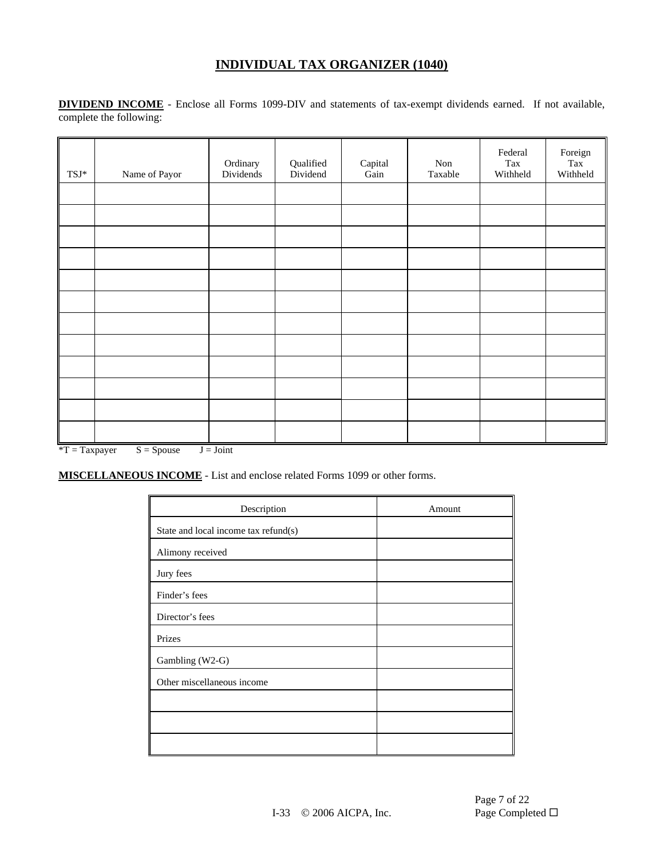**DIVIDEND INCOME** - Enclose all Forms 1099-DIV and statements of tax-exempt dividends earned. If not available, complete the following:

| $\ensuremath{\mathsf{T}}\ensuremath{\mathsf{S}}\ensuremath{\mathsf{J}}^*$ | Name of Payor | Ordinary<br>Dividends | Qualified<br>Dividend | ${\bf Capital}$<br>Gain | Non<br>Taxable | Federal<br>Tax<br>Withheld | Foreign<br>Tax<br>Withheld |
|---------------------------------------------------------------------------|---------------|-----------------------|-----------------------|-------------------------|----------------|----------------------------|----------------------------|
|                                                                           |               |                       |                       |                         |                |                            |                            |
|                                                                           |               |                       |                       |                         |                |                            |                            |
|                                                                           |               |                       |                       |                         |                |                            |                            |
|                                                                           |               |                       |                       |                         |                |                            |                            |
|                                                                           |               |                       |                       |                         |                |                            |                            |
|                                                                           |               |                       |                       |                         |                |                            |                            |
|                                                                           |               |                       |                       |                         |                |                            |                            |
|                                                                           |               |                       |                       |                         |                |                            |                            |
|                                                                           |               |                       |                       |                         |                |                            |                            |
|                                                                           |               |                       |                       |                         |                |                            |                            |
|                                                                           |               |                       |                       |                         |                |                            |                            |
|                                                                           |               |                       |                       |                         |                |                            |                            |

 $*T = Taxpayer$   $S = Spouse$   $J = Joint$ 

**MISCELLANEOUS INCOME** - List and enclose related Forms 1099 or other forms.

| Description                          | Amount |
|--------------------------------------|--------|
| State and local income tax refund(s) |        |
| Alimony received                     |        |
| Jury fees                            |        |
| Finder's fees                        |        |
| Director's fees                      |        |
| Prizes                               |        |
| Gambling (W2-G)                      |        |
| Other miscellaneous income           |        |
|                                      |        |
|                                      |        |
|                                      |        |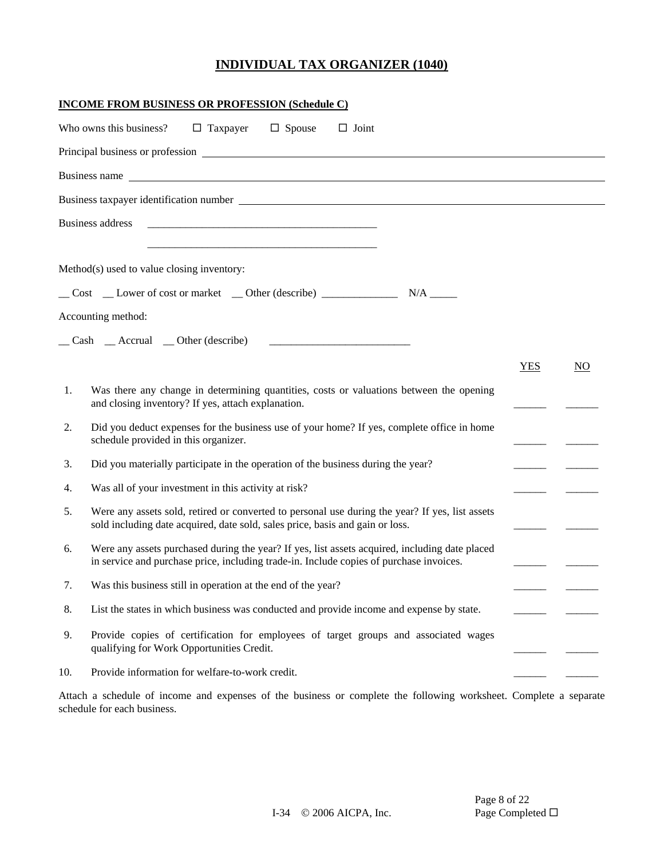|     | <b>INCOME FROM BUSINESS OR PROFESSION (Schedule C)</b>                                                                                                                                    |            |    |
|-----|-------------------------------------------------------------------------------------------------------------------------------------------------------------------------------------------|------------|----|
|     | $\Box$ Taxpayer<br>$\Box$ Spouse<br>$\Box$ Joint<br>Who owns this business?                                                                                                               |            |    |
|     |                                                                                                                                                                                           |            |    |
|     |                                                                                                                                                                                           |            |    |
|     |                                                                                                                                                                                           |            |    |
|     | <b>Business address</b>                                                                                                                                                                   |            |    |
|     |                                                                                                                                                                                           |            |    |
|     | Method(s) used to value closing inventory:                                                                                                                                                |            |    |
|     |                                                                                                                                                                                           |            |    |
|     | Accounting method:                                                                                                                                                                        |            |    |
|     | $\Box$ Cash $\Box$ Accrual $\Box$ Other (describe)                                                                                                                                        |            |    |
|     |                                                                                                                                                                                           | <b>YES</b> | NO |
| 1.  | Was there any change in determining quantities, costs or valuations between the opening<br>and closing inventory? If yes, attach explanation.                                             |            |    |
| 2.  | Did you deduct expenses for the business use of your home? If yes, complete office in home<br>schedule provided in this organizer.                                                        |            |    |
| 3.  | Did you materially participate in the operation of the business during the year?                                                                                                          |            |    |
| 4.  | Was all of your investment in this activity at risk?                                                                                                                                      |            |    |
| 5.  | Were any assets sold, retired or converted to personal use during the year? If yes, list assets<br>sold including date acquired, date sold, sales price, basis and gain or loss.          |            |    |
| 6.  | Were any assets purchased during the year? If yes, list assets acquired, including date placed<br>in service and purchase price, including trade-in. Include copies of purchase invoices. |            |    |
| 7.  | Was this business still in operation at the end of the year?                                                                                                                              |            |    |
| 8.  | List the states in which business was conducted and provide income and expense by state.                                                                                                  |            |    |
| 9.  | Provide copies of certification for employees of target groups and associated wages<br>qualifying for Work Opportunities Credit.                                                          |            |    |
| 10. | Provide information for welfare-to-work credit.                                                                                                                                           |            |    |

Attach a schedule of income and expenses of the business or complete the following worksheet. Complete a separate schedule for each business.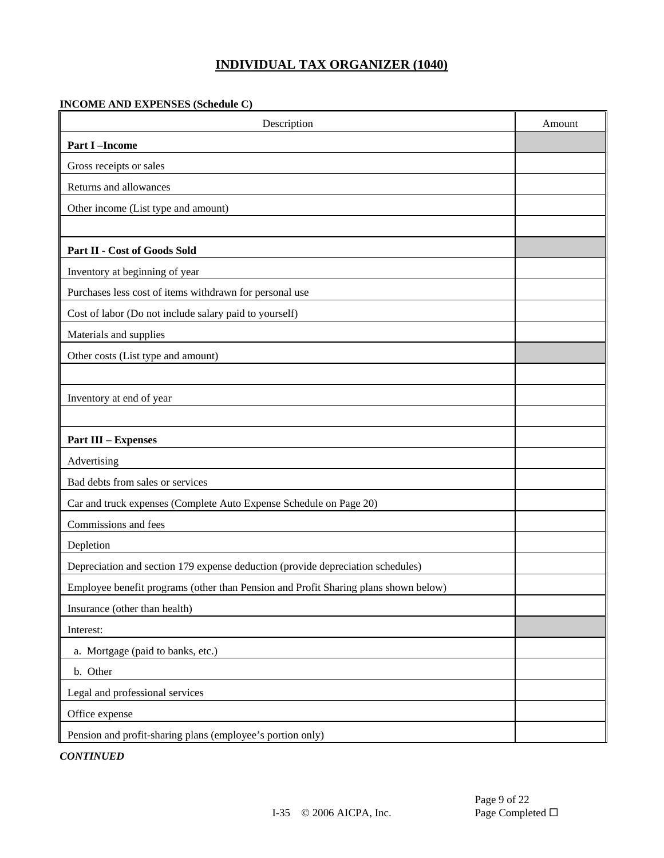### **INCOME AND EXPENSES (Schedule C)**

| Description                                                                         | Amount |
|-------------------------------------------------------------------------------------|--------|
| <b>Part I-Income</b>                                                                |        |
| Gross receipts or sales                                                             |        |
| Returns and allowances                                                              |        |
| Other income (List type and amount)                                                 |        |
|                                                                                     |        |
| Part II - Cost of Goods Sold                                                        |        |
| Inventory at beginning of year                                                      |        |
| Purchases less cost of items withdrawn for personal use                             |        |
| Cost of labor (Do not include salary paid to yourself)                              |        |
| Materials and supplies                                                              |        |
| Other costs (List type and amount)                                                  |        |
|                                                                                     |        |
| Inventory at end of year                                                            |        |
|                                                                                     |        |
| <b>Part III - Expenses</b>                                                          |        |
| Advertising                                                                         |        |
| Bad debts from sales or services                                                    |        |
| Car and truck expenses (Complete Auto Expense Schedule on Page 20)                  |        |
| Commissions and fees                                                                |        |
| Depletion                                                                           |        |
| Depreciation and section 179 expense deduction (provide depreciation schedules)     |        |
| Employee benefit programs (other than Pension and Profit Sharing plans shown below) |        |
| Insurance (other than health)                                                       |        |
| Interest:                                                                           |        |
| a. Mortgage (paid to banks, etc.)                                                   |        |
| b. Other                                                                            |        |
| Legal and professional services                                                     |        |
| Office expense                                                                      |        |
| Pension and profit-sharing plans (employee's portion only)                          |        |

*CONTINUED*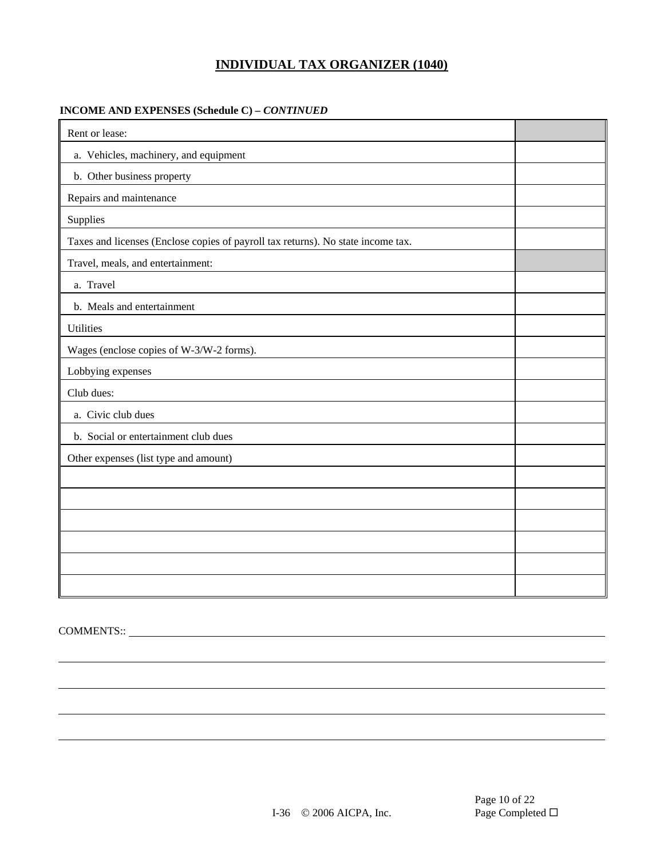#### **INCOME AND EXPENSES (Schedule C) –** *CONTINUED*

| Rent or lease:                                                                   |  |
|----------------------------------------------------------------------------------|--|
| a. Vehicles, machinery, and equipment                                            |  |
| b. Other business property                                                       |  |
| Repairs and maintenance                                                          |  |
| Supplies                                                                         |  |
| Taxes and licenses (Enclose copies of payroll tax returns). No state income tax. |  |
| Travel, meals, and entertainment:                                                |  |
| a. Travel                                                                        |  |
| b. Meals and entertainment                                                       |  |
| <b>Utilities</b>                                                                 |  |
| Wages (enclose copies of W-3/W-2 forms).                                         |  |
| Lobbying expenses                                                                |  |
| Club dues:                                                                       |  |
| a. Civic club dues                                                               |  |
| b. Social or entertainment club dues                                             |  |
| Other expenses (list type and amount)                                            |  |
|                                                                                  |  |
|                                                                                  |  |
|                                                                                  |  |
|                                                                                  |  |
|                                                                                  |  |
|                                                                                  |  |

COMMENTS::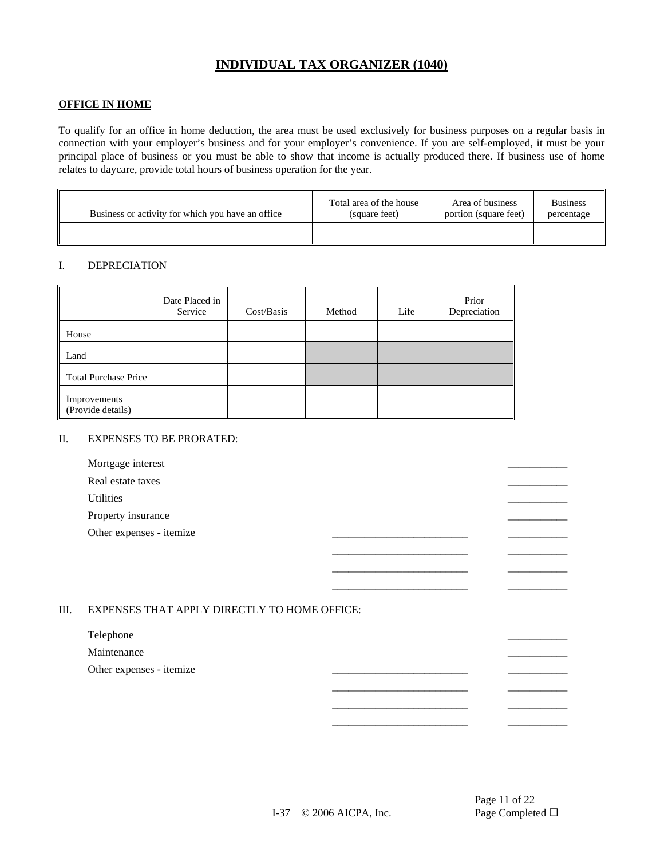#### **OFFICE IN HOME**

To qualify for an office in home deduction, the area must be used exclusively for business purposes on a regular basis in connection with your employer's business and for your employer's convenience. If you are self-employed, it must be your principal place of business or you must be able to show that income is actually produced there. If business use of home relates to daycare, provide total hours of business operation for the year.

| Business or activity for which you have an office | Total area of the house | Area of business      | <b>Business</b> |
|---------------------------------------------------|-------------------------|-----------------------|-----------------|
|                                                   | (square feet)           | portion (square feet) | percentage      |
|                                                   |                         |                       |                 |

#### I. DEPRECIATION

|                                   | Date Placed in<br>Service | Cost/Basis | Method | Life | Prior<br>Depreciation |
|-----------------------------------|---------------------------|------------|--------|------|-----------------------|
| House                             |                           |            |        |      |                       |
| Land                              |                           |            |        |      |                       |
| <b>Total Purchase Price</b>       |                           |            |        |      |                       |
| Improvements<br>(Provide details) |                           |            |        |      |                       |

#### II. EXPENSES TO BE PRORATED:

| Mortgage interest        |  |
|--------------------------|--|
| Real estate taxes        |  |
| <b>Utilities</b>         |  |
| Property insurance       |  |
| Other expenses - itemize |  |
|                          |  |
|                          |  |

#### III. EXPENSES THAT APPLY DIRECTLY TO HOME OFFICE:

#### Telephone  $\overline{\phantom{a}}$

**Maintenance** 

Other expenses - itemize

Page 11 of 22

\_\_\_\_\_\_\_\_\_\_\_\_\_\_\_\_\_\_\_\_\_\_\_\_\_ \_\_\_\_\_\_\_\_\_\_\_

\_\_\_\_\_\_\_\_\_\_\_\_\_\_\_\_\_\_\_\_\_\_\_\_\_ \_\_\_\_\_\_\_\_\_\_\_ \_\_\_\_\_\_\_\_\_\_\_\_\_\_\_\_\_\_\_\_\_\_\_\_\_ \_\_\_\_\_\_\_\_\_\_\_ \_\_\_\_\_\_\_\_\_\_\_\_\_\_\_\_\_\_\_\_\_\_\_\_\_ \_\_\_\_\_\_\_\_\_\_\_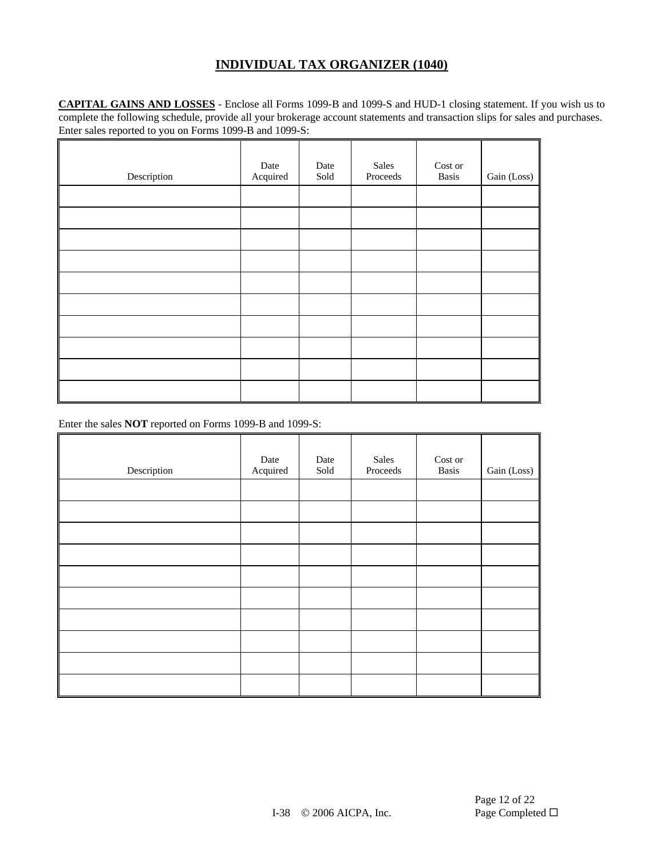**CAPITAL GAINS AND LOSSES** - Enclose all Forms 1099-B and 1099-S and HUD-1 closing statement. If you wish us to complete the following schedule, provide all your brokerage account statements and transaction slips for sales and purchases. Enter sales reported to you on Forms 1099-B and 1099-S:

| Description | Date<br>Acquired | Date<br>Sold | Sales<br>Proceeds | Cost or<br><b>Basis</b> | Gain (Loss) |
|-------------|------------------|--------------|-------------------|-------------------------|-------------|
|             |                  |              |                   |                         |             |
|             |                  |              |                   |                         |             |
|             |                  |              |                   |                         |             |
|             |                  |              |                   |                         |             |
|             |                  |              |                   |                         |             |
|             |                  |              |                   |                         |             |
|             |                  |              |                   |                         |             |
|             |                  |              |                   |                         |             |
|             |                  |              |                   |                         |             |
|             |                  |              |                   |                         |             |

Enter the sales **NOT** reported on Forms 1099-B and 1099-S:

| Description | Date<br>Acquired | Date<br>Sold | Sales<br>Proceeds | Cost or<br><b>Basis</b> | Gain (Loss) |
|-------------|------------------|--------------|-------------------|-------------------------|-------------|
|             |                  |              |                   |                         |             |
|             |                  |              |                   |                         |             |
|             |                  |              |                   |                         |             |
|             |                  |              |                   |                         |             |
|             |                  |              |                   |                         |             |
|             |                  |              |                   |                         |             |
|             |                  |              |                   |                         |             |
|             |                  |              |                   |                         |             |
|             |                  |              |                   |                         |             |
|             |                  |              |                   |                         |             |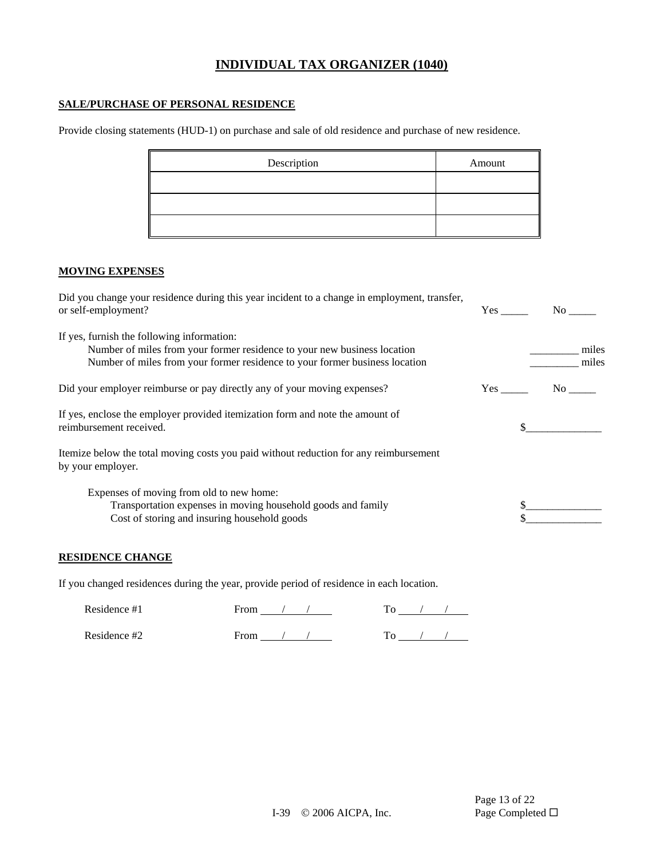#### **SALE/PURCHASE OF PERSONAL RESIDENCE**

Provide closing statements (HUD-1) on purchase and sale of old residence and purchase of new residence.

| Description | Amount |
|-------------|--------|
|             |        |
|             |        |
|             |        |

### **MOVING EXPENSES**

| Did you change your residence during this year incident to a change in employment, transfer,<br>or self-employment?                                                                                   |     | No r           |
|-------------------------------------------------------------------------------------------------------------------------------------------------------------------------------------------------------|-----|----------------|
| If yes, furnish the following information:<br>Number of miles from your former residence to your new business location<br>Number of miles from your former residence to your former business location |     | miles<br>miles |
| Did your employer reimburse or pay directly any of your moving expenses?                                                                                                                              | Yes | No.            |
| If yes, enclose the employer provided itemization form and note the amount of<br>reimbursement received.                                                                                              |     |                |
| Itemize below the total moving costs you paid without reduction for any reimbursement<br>by your employer.                                                                                            |     |                |
| Expenses of moving from old to new home:<br>Transportation expenses in moving household goods and family<br>Cost of storing and insuring household goods                                              |     |                |

#### **RESIDENCE CHANGE**

If you changed residences during the year, provide period of residence in each location.

| Residence #1 | From |  |  |  |
|--------------|------|--|--|--|
| Residence #2 | From |  |  |  |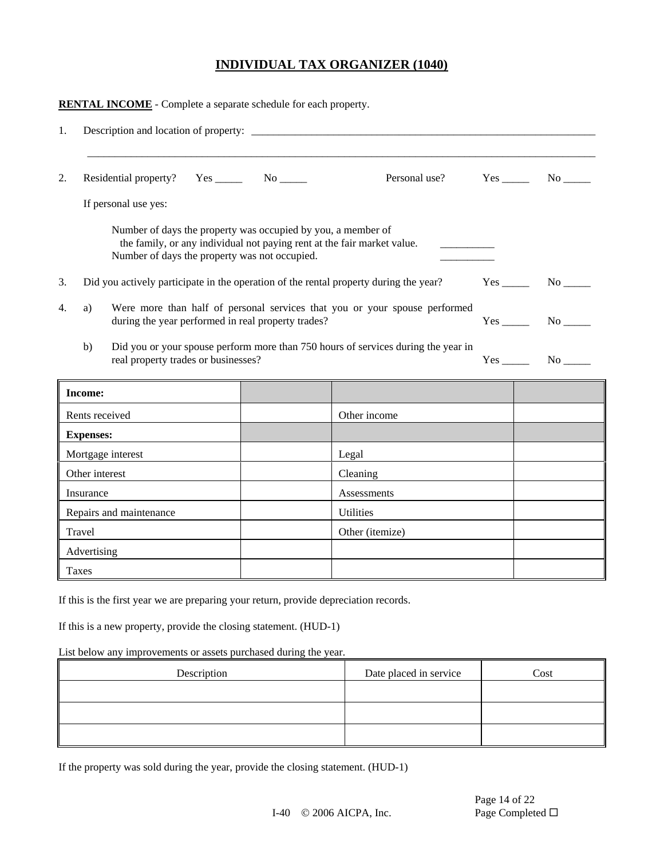|    | <b>RENTAL INCOME</b> - Complete a separate schedule for each property.                                                                                                                   |  |                                                                                   |                    |
|----|------------------------------------------------------------------------------------------------------------------------------------------------------------------------------------------|--|-----------------------------------------------------------------------------------|--------------------|
| 1. |                                                                                                                                                                                          |  |                                                                                   |                    |
| 2. |                                                                                                                                                                                          |  | Personal use?                                                                     | $Yes$ No $\_\_\_\$ |
|    | If personal use yes:                                                                                                                                                                     |  |                                                                                   |                    |
|    | Number of days the property was occupied by you, a member of<br>the family, or any individual not paying rent at the fair market value.<br>Number of days the property was not occupied. |  |                                                                                   |                    |
| 3. | Did you actively participate in the operation of the rental property during the year?                                                                                                    |  |                                                                                   | $Yes$ No $N$       |
| 4. | Were more than half of personal services that you or your spouse performed<br>a)<br>during the year performed in real property trades?                                                   |  |                                                                                   | $Yes$ No $N$       |
|    | b)<br>real property trades or businesses?                                                                                                                                                |  | Did you or your spouse perform more than 750 hours of services during the year in | $Yes$ No $No$      |
|    | <b>Income:</b>                                                                                                                                                                           |  |                                                                                   |                    |
|    | Rents received                                                                                                                                                                           |  | Other income                                                                      |                    |
|    | <b>Expenses:</b>                                                                                                                                                                         |  |                                                                                   |                    |
|    | Mortgage interest                                                                                                                                                                        |  | Legal                                                                             |                    |
|    | Other interest                                                                                                                                                                           |  | Cleaning                                                                          |                    |
|    | Insurance                                                                                                                                                                                |  | Assessments                                                                       |                    |
|    | Repairs and maintenance                                                                                                                                                                  |  | <b>Utilities</b>                                                                  |                    |
|    | Travel                                                                                                                                                                                   |  | Other (itemize)                                                                   |                    |
|    | Advertising                                                                                                                                                                              |  |                                                                                   |                    |
|    | Taxes                                                                                                                                                                                    |  |                                                                                   |                    |

If this is the first year we are preparing your return, provide depreciation records.

If this is a new property, provide the closing statement. (HUD-1)

List below any improvements or assets purchased during the year.

| Description | Date placed in service | Cost |
|-------------|------------------------|------|
|             |                        |      |
|             |                        |      |
|             |                        |      |

If the property was sold during the year, provide the closing statement. (HUD-1)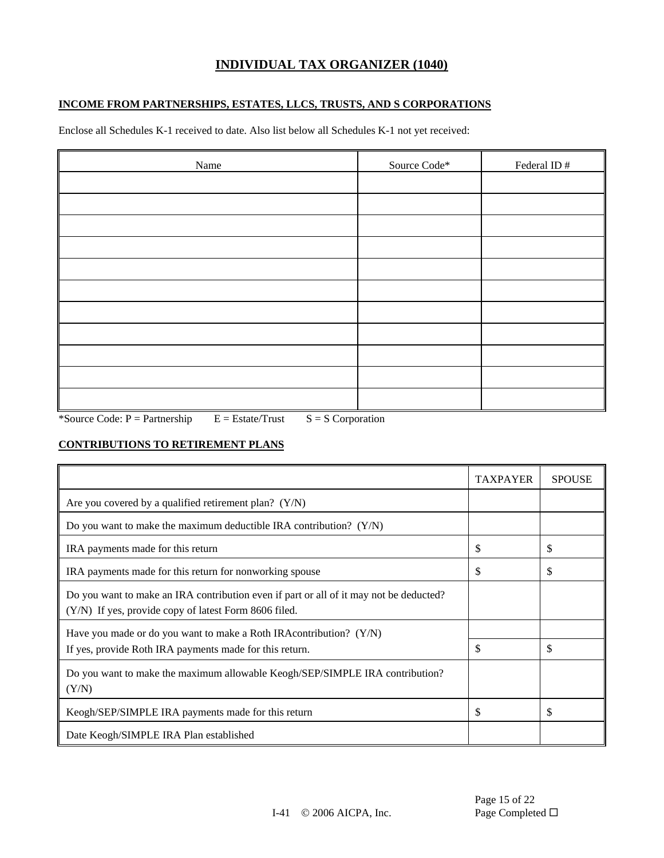### **INCOME FROM PARTNERSHIPS, ESTATES, LLCS, TRUSTS, AND S CORPORATIONS**

Enclose all Schedules K-1 received to date. Also list below all Schedules K-1 not yet received:

| Name | Source Code* | Federal ID# |
|------|--------------|-------------|
|      |              |             |
|      |              |             |
|      |              |             |
|      |              |             |
|      |              |             |
|      |              |             |
|      |              |             |
|      |              |             |
|      |              |             |
|      |              |             |
|      |              |             |

\*Source Code:  $P =$  Partnership  $E =$  Estate/Trust  $S = S$  Corporation

### **CONTRIBUTIONS TO RETIREMENT PLANS**

|                                                                                                                                                 | <b>TAXPAYER</b> | <b>SPOUSE</b> |
|-------------------------------------------------------------------------------------------------------------------------------------------------|-----------------|---------------|
| Are you covered by a qualified retirement plan? $(Y/N)$                                                                                         |                 |               |
| Do you want to make the maximum deductible IRA contribution? $(Y/N)$                                                                            |                 |               |
| IRA payments made for this return                                                                                                               | \$              | \$            |
| IRA payments made for this return for nonworking spouse                                                                                         | \$              | S             |
| Do you want to make an IRA contribution even if part or all of it may not be deducted?<br>(Y/N) If yes, provide copy of latest Form 8606 filed. |                 |               |
| Have you made or do you want to make a Roth IRA contribution? $(Y/N)$<br>If yes, provide Roth IRA payments made for this return.                | \$              | \$            |
| Do you want to make the maximum allowable Keogh/SEP/SIMPLE IRA contribution?<br>(Y/N)                                                           |                 |               |
| Keogh/SEP/SIMPLE IRA payments made for this return                                                                                              | \$              | \$            |
| Date Keogh/SIMPLE IRA Plan established                                                                                                          |                 |               |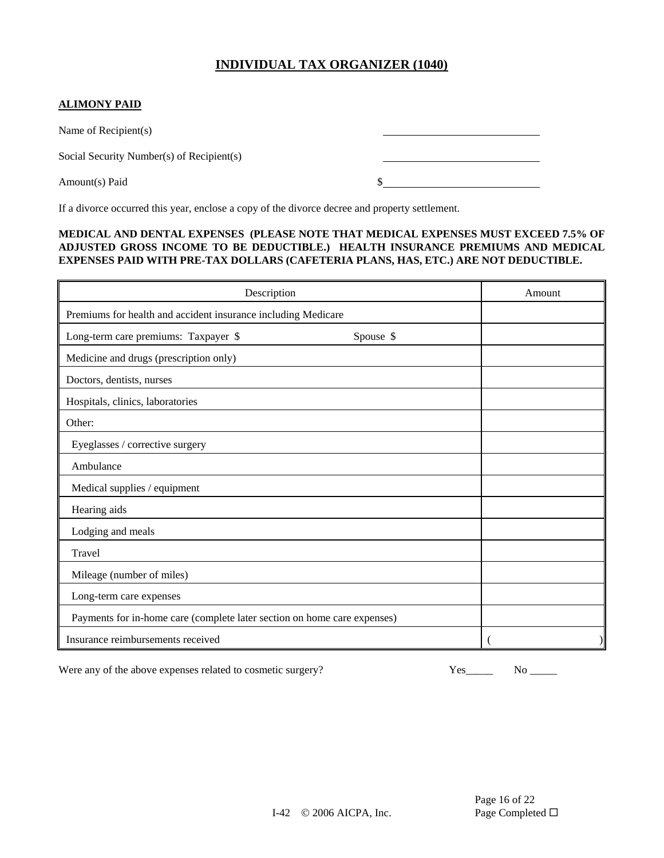### **ALIMONY PAID**

Name of Recipient(s)

Social Security Number(s) of Recipient(s)

Amount(s) Paid  $\frac{1}{2}$  **S** 

If a divorce occurred this year, enclose a copy of the divorce decree and property settlement.

#### **MEDICAL AND DENTAL EXPENSES (PLEASE NOTE THAT MEDICAL EXPENSES MUST EXCEED 7.5% OF ADJUSTED GROSS INCOME TO BE DEDUCTIBLE.) HEALTH INSURANCE PREMIUMS AND MEDICAL EXPENSES PAID WITH PRE-TAX DOLLARS (CAFETERIA PLANS, HAS, ETC.) ARE NOT DEDUCTIBLE.**

| Description                                                              | Amount    |  |
|--------------------------------------------------------------------------|-----------|--|
| Premiums for health and accident insurance including Medicare            |           |  |
| Long-term care premiums: Taxpayer \$                                     | Spouse \$ |  |
| Medicine and drugs (prescription only)                                   |           |  |
| Doctors, dentists, nurses                                                |           |  |
| Hospitals, clinics, laboratories                                         |           |  |
| Other:                                                                   |           |  |
| Eyeglasses / corrective surgery                                          |           |  |
| Ambulance                                                                |           |  |
| Medical supplies / equipment                                             |           |  |
| Hearing aids                                                             |           |  |
| Lodging and meals                                                        |           |  |
| Travel                                                                   |           |  |
| Mileage (number of miles)                                                |           |  |
| Long-term care expenses                                                  |           |  |
| Payments for in-home care (complete later section on home care expenses) |           |  |
| Insurance reimbursements received                                        |           |  |

Were any of the above expenses related to cosmetic surgery? Yes\_\_\_\_\_ No \_\_\_\_\_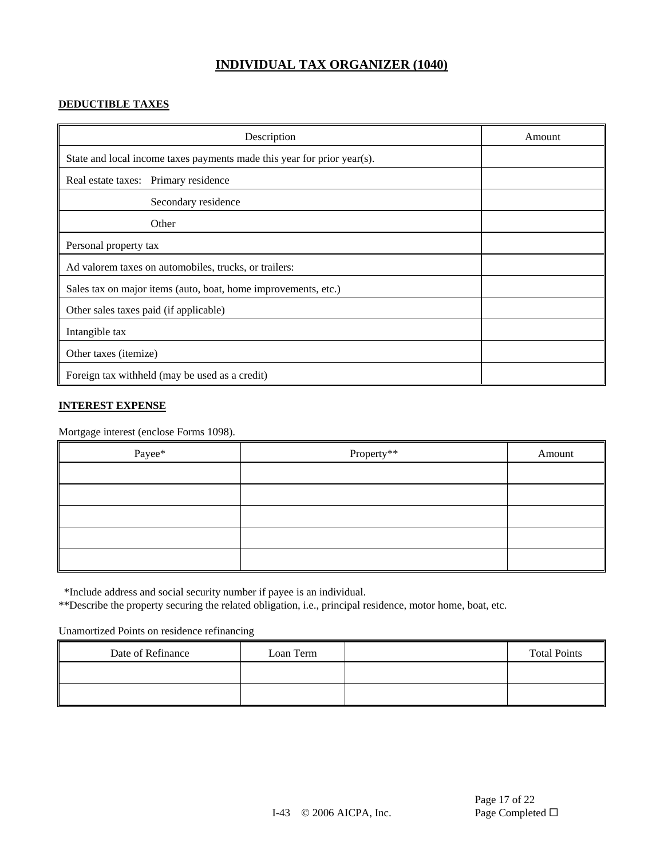### **DEDUCTIBLE TAXES**

| Description                                                             | Amount |
|-------------------------------------------------------------------------|--------|
| State and local income taxes payments made this year for prior year(s). |        |
| Real estate taxes: Primary residence                                    |        |
| Secondary residence                                                     |        |
| Other                                                                   |        |
| Personal property tax                                                   |        |
| Ad valorem taxes on automobiles, trucks, or trailers:                   |        |
| Sales tax on major items (auto, boat, home improvements, etc.)          |        |
| Other sales taxes paid (if applicable)                                  |        |
| Intangible tax                                                          |        |
| Other taxes ( <i>itemize</i> )                                          |        |
| Foreign tax withheld (may be used as a credit)                          |        |

#### **INTEREST EXPENSE**

Mortgage interest (enclose Forms 1098).

| Payee* | Property** | Amount |
|--------|------------|--------|
|        |            |        |
|        |            |        |
|        |            |        |
|        |            |        |
|        |            |        |

\*Include address and social security number if payee is an individual.

\*\*Describe the property securing the related obligation, i.e., principal residence, motor home, boat, etc.

Unamortized Points on residence refinancing

| Date of Refinance | Loan Term | <b>Total Points</b> |
|-------------------|-----------|---------------------|
|                   |           |                     |
|                   |           |                     |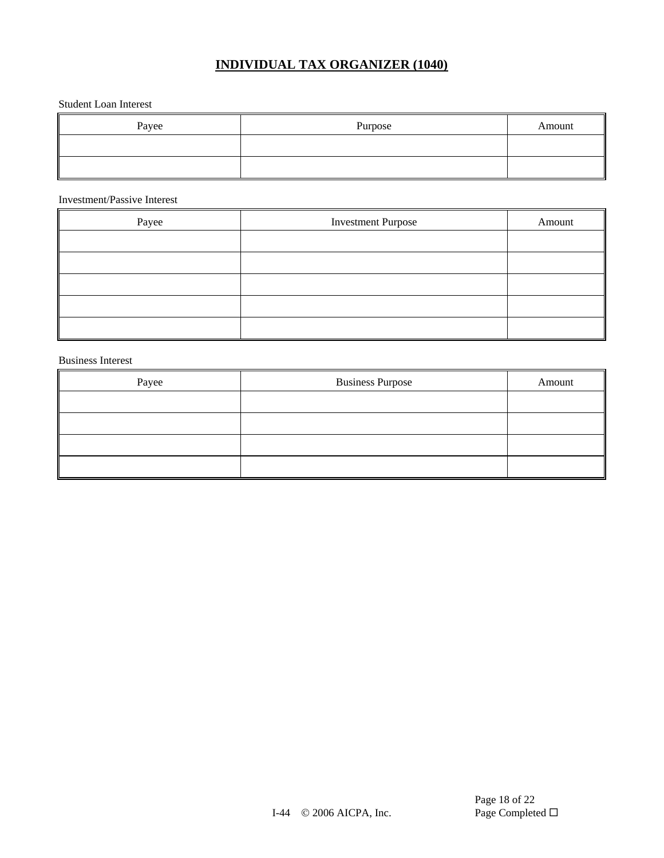#### Student Loan Interest

| Payee | Purpose | Amount |
|-------|---------|--------|
|       |         |        |
|       |         |        |

#### Investment/Passive Interest

| Payee | <b>Investment Purpose</b> | Amount |
|-------|---------------------------|--------|
|       |                           |        |
|       |                           |        |
|       |                           |        |
|       |                           |        |
|       |                           |        |

#### Business Interest

| Payee | <b>Business Purpose</b> | Amount |
|-------|-------------------------|--------|
|       |                         |        |
|       |                         |        |
|       |                         |        |
|       |                         |        |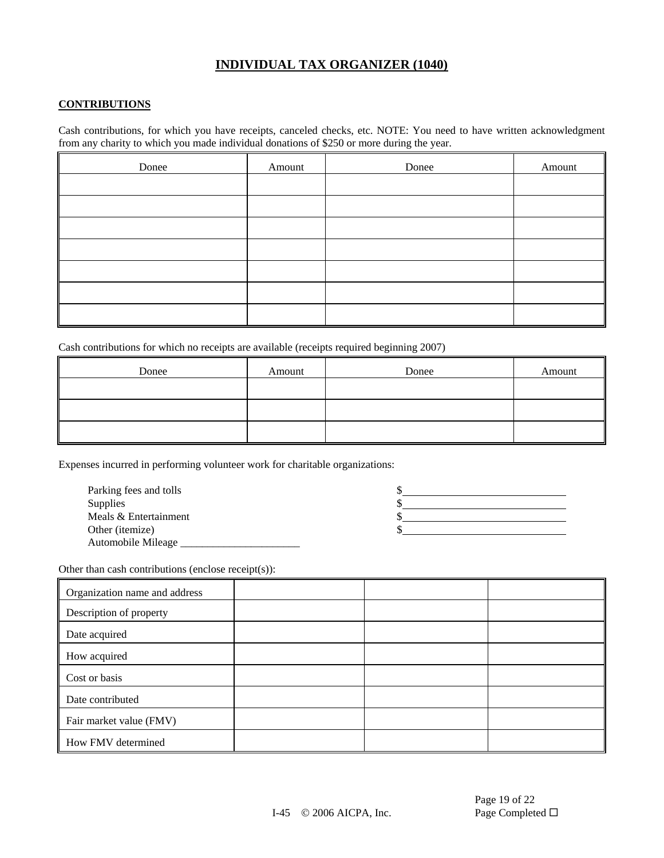#### **CONTRIBUTIONS**

Cash contributions, for which you have receipts, canceled checks, etc. NOTE: You need to have written acknowledgment from any charity to which you made individual donations of \$250 or more during the year.

| Donee | Amount | Donee | Amount |
|-------|--------|-------|--------|
|       |        |       |        |
|       |        |       |        |
|       |        |       |        |
|       |        |       |        |
|       |        |       |        |
|       |        |       |        |
|       |        |       |        |

Cash contributions for which no receipts are available (receipts required beginning 2007)

| Donee | Amount | Donee | Amount |
|-------|--------|-------|--------|
|       |        |       |        |
|       |        |       |        |
|       |        |       |        |

Expenses incurred in performing volunteer work for charitable organizations:

| Parking fees and tolls |  |
|------------------------|--|
| <b>Supplies</b>        |  |
| Meals & Entertainment  |  |
| Other (itemize)        |  |
| Automobile Mileage     |  |

Other than cash contributions (enclose receipt(s)):

| Organization name and address |  |  |
|-------------------------------|--|--|
| Description of property       |  |  |
| Date acquired                 |  |  |
| How acquired                  |  |  |
| Cost or basis                 |  |  |
| Date contributed              |  |  |
| Fair market value (FMV)       |  |  |
| How FMV determined            |  |  |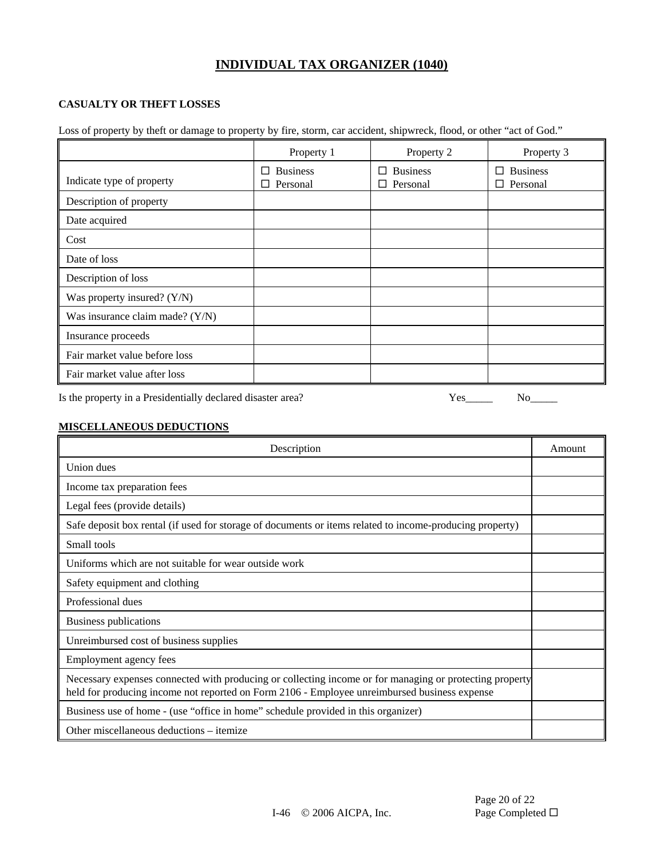### **CASUALTY OR THEFT LOSSES**

Loss of property by theft or damage to property by fire, storm, car accident, shipwreck, flood, or other "act of God."

|                                 | Property 1                         | Property 2                         | Property 3                         |
|---------------------------------|------------------------------------|------------------------------------|------------------------------------|
| Indicate type of property       | $\Box$ Business<br>$\Box$ Personal | $\Box$ Business<br>$\Box$ Personal | $\Box$ Business<br>$\Box$ Personal |
| Description of property         |                                    |                                    |                                    |
| Date acquired                   |                                    |                                    |                                    |
| Cost                            |                                    |                                    |                                    |
| Date of loss                    |                                    |                                    |                                    |
| Description of loss             |                                    |                                    |                                    |
| Was property insured? (Y/N)     |                                    |                                    |                                    |
| Was insurance claim made? (Y/N) |                                    |                                    |                                    |
| Insurance proceeds              |                                    |                                    |                                    |
| Fair market value before loss   |                                    |                                    |                                    |
| Fair market value after loss    |                                    |                                    |                                    |

Is the property in a Presidentially declared disaster area? Yes\_\_\_\_\_ No\_\_\_\_\_

#### **MISCELLANEOUS DEDUCTIONS**

| Description                                                                                                                                                                                             | Amount |
|---------------------------------------------------------------------------------------------------------------------------------------------------------------------------------------------------------|--------|
| Union dues                                                                                                                                                                                              |        |
| Income tax preparation fees                                                                                                                                                                             |        |
| Legal fees (provide details)                                                                                                                                                                            |        |
| Safe deposit box rental (if used for storage of documents or items related to income-producing property)                                                                                                |        |
| Small tools                                                                                                                                                                                             |        |
| Uniforms which are not suitable for wear outside work                                                                                                                                                   |        |
| Safety equipment and clothing                                                                                                                                                                           |        |
| Professional dues                                                                                                                                                                                       |        |
| Business publications                                                                                                                                                                                   |        |
| Unreimbursed cost of business supplies                                                                                                                                                                  |        |
| Employment agency fees                                                                                                                                                                                  |        |
| Necessary expenses connected with producing or collecting income or for managing or protecting property<br>held for producing income not reported on Form 2106 - Employee unreimbursed business expense |        |
| Business use of home - (use "office in home" schedule provided in this organizer)                                                                                                                       |        |
| Other miscellaneous deductions – itemize                                                                                                                                                                |        |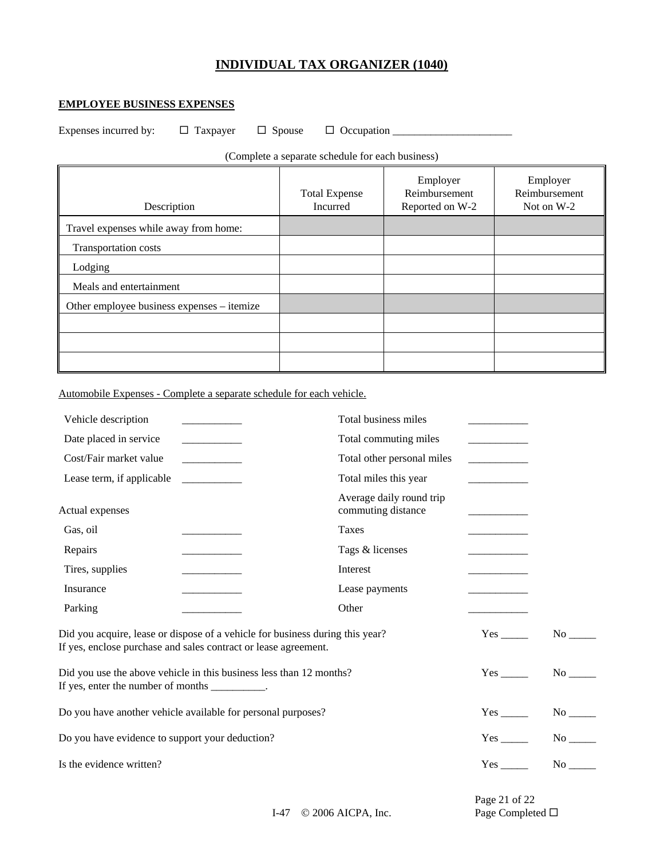#### **EMPLOYEE BUSINESS EXPENSES**

Expenses incurred by: Taxpayer Spouse Occupation \_\_\_\_\_\_\_\_\_\_\_\_\_\_\_\_\_\_\_\_\_\_

(Complete a separate schedule for each business)

| Description                                | <b>Total Expense</b><br><b>Incurred</b> | Employer<br>Reimbursement<br>Reported on W-2 | Employer<br>Reimbursement<br>Not on W-2 |
|--------------------------------------------|-----------------------------------------|----------------------------------------------|-----------------------------------------|
| Travel expenses while away from home:      |                                         |                                              |                                         |
| Transportation costs                       |                                         |                                              |                                         |
| Lodging                                    |                                         |                                              |                                         |
| Meals and entertainment                    |                                         |                                              |                                         |
| Other employee business expenses – itemize |                                         |                                              |                                         |
|                                            |                                         |                                              |                                         |
|                                            |                                         |                                              |                                         |
|                                            |                                         |                                              |                                         |

Automobile Expenses - Complete a separate schedule for each vehicle.

| Vehicle description                             |                                                                                                                                                  | Total business miles                           |                                                 |                       |
|-------------------------------------------------|--------------------------------------------------------------------------------------------------------------------------------------------------|------------------------------------------------|-------------------------------------------------|-----------------------|
| Date placed in service                          |                                                                                                                                                  | Total commuting miles                          |                                                 |                       |
| Cost/Fair market value                          |                                                                                                                                                  | Total other personal miles                     |                                                 |                       |
| Lease term, if applicable                       |                                                                                                                                                  | Total miles this year                          |                                                 |                       |
| Actual expenses                                 |                                                                                                                                                  | Average daily round trip<br>commuting distance | <u> 1980 - Johann Barnett, fransk politik (</u> |                       |
| Gas, oil                                        | the control of the control of the control of                                                                                                     | Taxes                                          | <u> 1989 - Johann Barbara, martxa a</u>         |                       |
| Repairs                                         |                                                                                                                                                  | Tags & licenses                                |                                                 |                       |
| Tires, supplies                                 |                                                                                                                                                  | Interest                                       |                                                 |                       |
| Insurance                                       |                                                                                                                                                  | Lease payments                                 |                                                 |                       |
| Parking                                         |                                                                                                                                                  | Other                                          |                                                 |                       |
|                                                 | Did you acquire, lease or dispose of a vehicle for business during this year?<br>If yes, enclose purchase and sales contract or lease agreement. |                                                | Yes                                             | No no                 |
| If yes, enter the number of months __________.  | Did you use the above vehicle in this business less than 12 months?                                                                              |                                                | Yes                                             | No no                 |
|                                                 | Do you have another vehicle available for personal purposes?                                                                                     |                                                | Yes                                             | $No$ <sub>_____</sub> |
| Do you have evidence to support your deduction? |                                                                                                                                                  |                                                | Yes                                             | No no                 |
| Is the evidence written?                        |                                                                                                                                                  |                                                | Yes                                             | No                    |

Page 21 of 22

I-47 © 2006 AICPA, Inc. Page Completed □